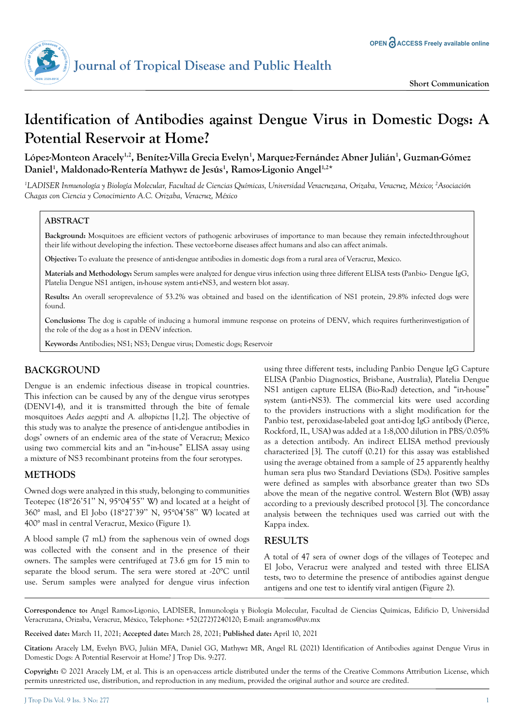

# **Identification of Antibodies against Dengue Virus in Domestic Dogs: A Potential Reservoir at Home?**

López-Monteon Aracely<sup>1,2</sup>, Benítez-Villa Grecia Evelyn<sup>1</sup>, Marquez-Fernández Abner Julián<sup>1</sup>, Guzman-Gómez **Daniel1 , Maldonado-Rentería Mathywz de Jesús1 , Ramos-Ligonio Angel1,2**\*

*1 LADISER Inmunología y Biología Molecular, Facultad de Ciencias Químicas, Universidad Veracruzana, Orizaba, Veracruz, México; 2 Asociación Chagas con Ciencia y Conocimiento A.C. Orizaba, Veracruz, México*

### **ABSTRACT**

**Background:** Mosquitoes are efficient vectors of pathogenic arboviruses of importance to man because they remain infected throughout their life without developing the infection. These vector-borne diseases affect humans and also can affect animals.

**Objective:** To evaluate the presence of anti-dengue antibodies in domestic dogs from a rural area of Veracruz, Mexico.

**Materials and Methodology:** Serum samples were analyzed for dengue virus infection using three different ELISA tests (Panbio- Dengue IgG, Platelia Dengue NS1 antigen, in-house system anti-rNS3, and western blot assay.

**Results:** An overall seroprevalence of 53.2% was obtained and based on the identification of NS1 protein, 29.8% infected dogs were found.

**Conclusions:** The dog is capable of inducing a humoral immune response on proteins of DENV, which requires further investigation of the role of the dog as a host in DENV infection.

**Keywords:** Antibodies; NS1; NS3; Dengue virus; Domestic dogs; Reservoir

# **BACKGROUND**

Dengue is an endemic infectious disease in tropical countries. This infection can be caused by any of the dengue virus serotypes (DENV1-4), and it is transmitted through the bite of female mosquitoes *Aedes aegypti* and *A. albopictus* [1,2]. The objective of this study was to analyze the presence of anti-dengue antibodies in dogs' owners of an endemic area of the state of Veracruz; Mexico using two commercial kits and an "in-house" ELISA assay using a mixture of NS3 recombinant proteins from the four serotypes.

# **METHODS**

Owned dogs were analyzed in this study, belonging to communities Teotepec (18°26'51'' N, 95°04'55'' W) and located at a height of 360° masl, and El Jobo (18°27'39'' N, 95°04'58'' W) located at 400° masl in central Veracruz, Mexico (Figure 1).

A blood sample (7 mL) from the saphenous vein of owned dogs was collected with the consent and in the presence of their owners. The samples were centrifuged at 73.6 gm for 15 min to separate the blood serum. The sera were stored at -20°C until use. Serum samples were analyzed for dengue virus infection using three different tests, including Panbio Dengue IgG Capture ELISA (Panbio Diagnostics, Brisbane, Australia), Platelia Dengue NS1 antigen capture ELISA (Bio-Rad) detection, and "in-house" system (anti-rNS3). The commercial kits were used according to the providers instructions with a slight modification for the Panbio test, peroxidase-labeled goat anti-dog IgG antibody (Pierce, Rockford, IL, USA) was added at a 1:8,000 dilution in PBS/0.05% as a detection antibody. An indirect ELISA method previously characterized [3]. The cutoff (0.21) for this assay was established using the average obtained from a sample of 25 apparently healthy human sera plus two Standard Deviations (SDs). Positive samples were defined as samples with absorbance greater than two SDs above the mean of the negative control. Western Blot (WB) assay according to a previously described protocol [3]. The concordance analysis between the techniques used was carried out with the Kappa index.

## **RESULTS**

A total of 47 sera of owner dogs of the villages of Teotepec and El Jobo, Veracruz were analyzed and tested with three ELISA tests, two to determine the presence of antibodies against dengue antigens and one test to identify viral antigen (Figure 2).

**Correspondence to:** Angel Ramos-Ligonio, LADISER, Inmunología y Biología Molecular, Facultad de Ciencias Químicas, Edificio D, Universidad Veracruzana, Orizaba, Veracruz, México, Telephone: +52(272)7240120; E-mail: angramos@uv.mx

**Received date:** March 11, 2021; **Accepted date:** March 28, 2021; **Published date:** April 10, 2021

**Citation:** Aracely LM, Evelyn BVG, Julián MFA, Daniel GG, Mathywz MR, Angel RL (2021) Identification of Antibodies against Dengue Virus in Domestic Dogs: A Potential Reservoir at Home? J Trop Dis. 9:277.

**Copyright:** © 2021 Aracely LM, et al. This is an open-access article distributed under the terms of the Creative Commons Attribution License, which permits unrestricted use, distribution, and reproduction in any medium, provided the original author and source are credited.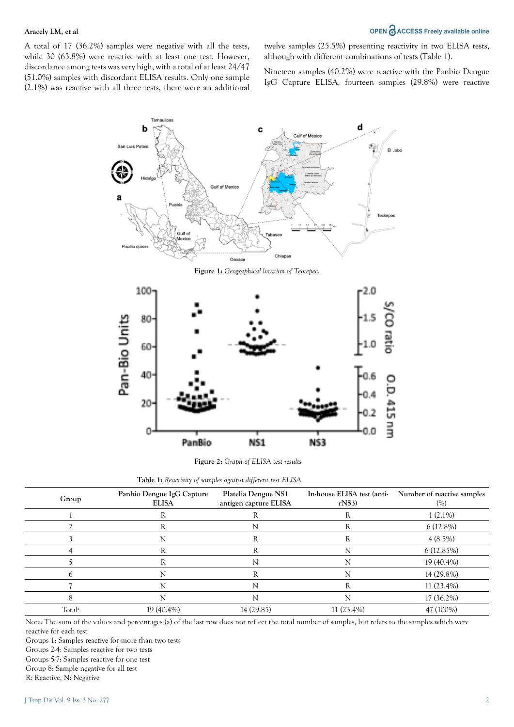# Aracely LM, et al *OPEN*  $\partial$ ACCESS Freely available online

A total of 17 (36.2%) samples were negative with all the tests, while 30 (63.8%) were reactive with at least one test. However, discordance among tests was very high, with a total of at least 24/47 (51.0%) samples with discordant ELISA results. Only one sample (2.1%) was reactive with all three tests, there were an additional twelve samples (25.5%) presenting reactivity in two ELISA tests, although with different combinations of tests (Table 1).

Nineteen samples (40.2%) were reactive with the Panbio Dengue IgG Capture ELISA, fourteen samples (29.8%) were reactive





**Figure 2:** *Graph of ELISA test results.*

|  |  | Table 1: Reactivity of samples against different test ELISA. |  |  |  |  |  |  |
|--|--|--------------------------------------------------------------|--|--|--|--|--|--|
|--|--|--------------------------------------------------------------|--|--|--|--|--|--|

| Group              | Panbio Dengue IgG Capture<br><b>ELISA</b> | Platelia Dengue NS1<br>antigen capture ELISA | In-house ELISA test (anti-<br>$r$ NS3) | Number of reactive samples<br>(%) |
|--------------------|-------------------------------------------|----------------------------------------------|----------------------------------------|-----------------------------------|
|                    | ĸ                                         |                                              | R                                      | $1(2.1\%)$                        |
|                    | R                                         |                                              | R                                      | $6(12.8\%)$                       |
|                    | N                                         | R                                            | R                                      | $4(8.5\%)$                        |
|                    | R                                         | ĸ                                            |                                        | 6(12.85%)                         |
|                    | R                                         |                                              | N                                      | 19 (40.4%)                        |
|                    | N                                         |                                              | N                                      | 14 (29.8%)                        |
|                    | N                                         |                                              | R                                      | $11(23.4\%)$                      |
|                    | N                                         |                                              |                                        | 17 (36.2%)                        |
| Total <sup>a</sup> | 19 (40.4%)                                | 14 (29.85)                                   | $11(23.4\%)$                           | 47 (100%)                         |

Note: The sum of the values and percentages (a) of the last row does not reflect the total number of samples, but refers to the samples which were reactive for each test

Groups 1: Samples reactive for more than two tests

Groups 2-4: Samples reactive for two tests

Groups 5-7: Samples reactive for one test

Group 8: Sample negative for all test

R: Reactive, N: Negative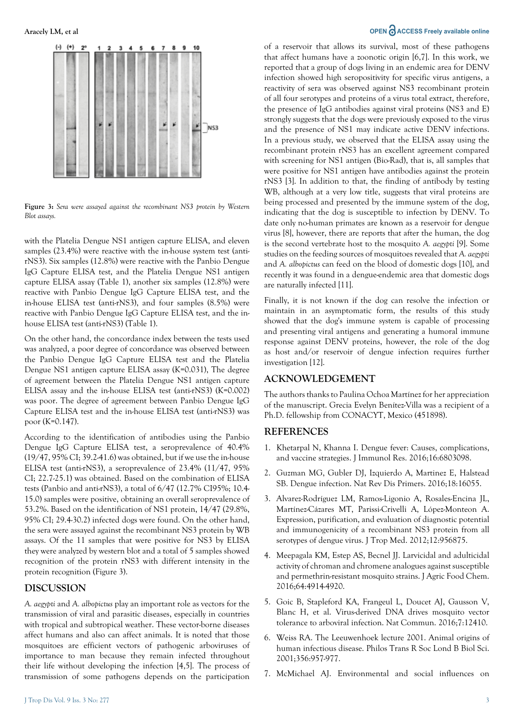

**Figure 3:** *Sera were assayed against the recombinant NS3 protein by Western Blot assays.*

with the Platelia Dengue NS1 antigen capture ELISA, and eleven samples (23.4%) were reactive with the in-house system test (antirNS3). Six samples (12.8%) were reactive with the Panbio Dengue IgG Capture ELISA test, and the Platelia Dengue NS1 antigen capture ELISA assay (Table 1), another six samples (12.8%) were reactive with Panbio Dengue IgG Capture ELISA test, and the in-house ELISA test (anti-rNS3), and four samples (8.5%) were reactive with Panbio Dengue IgG Capture ELISA test, and the inhouse ELISA test (anti-rNS3) (Table 1).

On the other hand, the concordance index between the tests used was analyzed, a poor degree of concordance was observed between the Panbio Dengue IgG Capture ELISA test and the Platelia Dengue NS1 antigen capture ELISA assay (K=0.031), The degree of agreement between the Platelia Dengue NS1 antigen capture ELISA assay and the in-house ELISA test (anti-rNS3) (K=0.002) was poor. The degree of agreement between Panbio Dengue IgG Capture ELISA test and the in-house ELISA test (anti-rNS3) was poor (K=0.147).

According to the identification of antibodies using the Panbio Dengue IgG Capture ELISA test, a seroprevalence of 40.4% (19/47, 95% CI; 39.2-41.6) was obtained, but if we use the in-house ELISA test (anti-rNS3), a seroprevalence of 23.4% (11/47, 95% CI; 22.7-25.1) was obtained. Based on the combination of ELISA tests (Panbio and anti-rNS3), a total of 6/47 (12.7% CI95%; 10.4- 15.0) samples were positive, obtaining an overall seroprevalence of 53.2%. Based on the identification of NS1 protein, 14/47 (29.8%, 95% CI; 29.4-30.2) infected dogs were found. On the other hand, the sera were assayed against the recombinant NS3 protein by WB assays. Of the 11 samples that were positive for NS3 by ELISA they were analyzed by western blot and a total of 5 samples showed recognition of the protein rNS3 with different intensity in the protein recognition (Figure 3).

#### **DISCUSSION**

*A. aegypti* and *A. albopictus* play an important role as vectors for the transmission of viral and parasitic diseases, especially in countries with tropical and subtropical weather. These vector-borne diseases affect humans and also can affect animals. It is noted that those mosquitoes are efficient vectors of pathogenic arboviruses of importance to man because they remain infected throughout their life without developing the infection [4,5]. The process of transmission of some pathogens depends on the participation

# Aracely LM, et al *OPEN*  $\partial$  **ACCESS** Freely available online

of a reservoir that allows its survival, most of these pathogens that affect humans have a zoonotic origin [6,7]. In this work, we reported that a group of dogs living in an endemic area for DENV infection showed high seropositivity for specific virus antigens, a reactivity of sera was observed against NS3 recombinant protein of all four serotypes and proteins of a virus total extract, therefore, the presence of IgG antibodies against viral proteins (NS3 and E) strongly suggests that the dogs were previously exposed to the virus and the presence of NS1 may indicate active DENV infections. In a previous study, we observed that the ELISA assay using the recombinant protein rNS3 has an excellent agreement compared with screening for NS1 antigen (Bio-Rad), that is, all samples that were positive for NS1 antigen have antibodies against the protein rNS3 [3]. In addition to that, the finding of antibody by testing WB, although at a very low title, suggests that viral proteins are being processed and presented by the immune system of the dog, indicating that the dog is susceptible to infection by DENV. To date only no-human primates are known as a reservoir for dengue virus [8], however, there are reports that after the human, the dog is the second vertebrate host to the mosquito *A. aegypti* [9]. Some studies on the feeding sources of mosquitoes revealed that *A. aegypti* and *A. albopictus* can feed on the blood of domestic dogs [10], and recently it was found in a dengue-endemic area that domestic dogs are naturally infected [11].

Finally, it is not known if the dog can resolve the infection or maintain in an asymptomatic form, the results of this study showed that the dog's immune system is capable of processing and presenting viral antigens and generating a humoral immune response against DENV proteins, however, the role of the dog as host and/or reservoir of dengue infection requires further investigation [12].

# **ACKNOWLEDGEMENT**

The authors thanks to Paulina Ochoa Martínez for her appreciation of the manuscript. Grecia Evelyn Benítez-Villa was a recipient of a Ph.D. fellowship from CONACYT, Mexico (451898).

#### **REFERENCES**

- 1. [Khetarpal N, Khanna I. Dengue fever: Causes, complications,](https://pubmed.ncbi.nlm.nih.gov/27525287/)  [and vaccine strategies. J Immunol Res. 2016;16:6803098.](https://pubmed.ncbi.nlm.nih.gov/27525287/)
- 2. [Guzman MG, Gubler DJ, Izquierdo A, Martinez E, Halstead](https://pubmed.ncbi.nlm.nih.gov/27534439/)  [SB. Dengue infection. Nat Rev Dis Primers. 2016;18:16055.](https://pubmed.ncbi.nlm.nih.gov/27534439/)
- 3. [Alvarez-Rodríguez LM, Ramos-Ligonio A, Rosales-Encina JL,](https://pubmed.ncbi.nlm.nih.gov/23258983/)  [Martínez-Cázares MT, Parissi-Crivelli A, López-Monteon A.](https://pubmed.ncbi.nlm.nih.gov/23258983/)  [Expression, purification, and evaluation of diagnostic potential](https://pubmed.ncbi.nlm.nih.gov/23258983/)  [and immunogenicity of a recombinant NS3 protein from all](https://pubmed.ncbi.nlm.nih.gov/23258983/)  [serotypes of dengue virus. J Trop Med. 2012;12:956875.](https://pubmed.ncbi.nlm.nih.gov/23258983/)
- 4. Meepagala KM, Estep AS, Becnel II. Larvicidal and adulticidal [activity of chroman and chromene analogues against susceptible](https://pubs.acs.org/doi/abs/10.1021/acs.jafc.6b01299)  [and permethrin-resistant mosquito strains. J Agric Food Chem.](https://pubs.acs.org/doi/abs/10.1021/acs.jafc.6b01299)  [2016;64:4914-4920.](https://pubs.acs.org/doi/abs/10.1021/acs.jafc.6b01299)
- 5. [Goic B, Stapleford KA, Frangeul L, Doucet AJ, Gausson V,](https://pubmed.ncbi.nlm.nih.gov/27580708/)  [Blanc H, et al. Virus-derived DNA drives mosquito vector](https://pubmed.ncbi.nlm.nih.gov/27580708/)  [tolerance to arboviral infection. Nat Commun. 2016;7:12410.](https://pubmed.ncbi.nlm.nih.gov/27580708/)
- 6. [Weiss RA. The Leeuwenhoek lecture 2001. Animal origins of](https://www.ncbi.nlm.nih.gov/pmc/articles/PMC1088492/)  [human infectious disease. Philos Trans R Soc Lond B Biol Sci.](https://www.ncbi.nlm.nih.gov/pmc/articles/PMC1088492/)  [2001;356:957-977.](https://www.ncbi.nlm.nih.gov/pmc/articles/PMC1088492/)
- 7. [McMichael AJ. Environmental and social influences on](https://www.ncbi.nlm.nih.gov/pmc/articles/PMC1693387/)